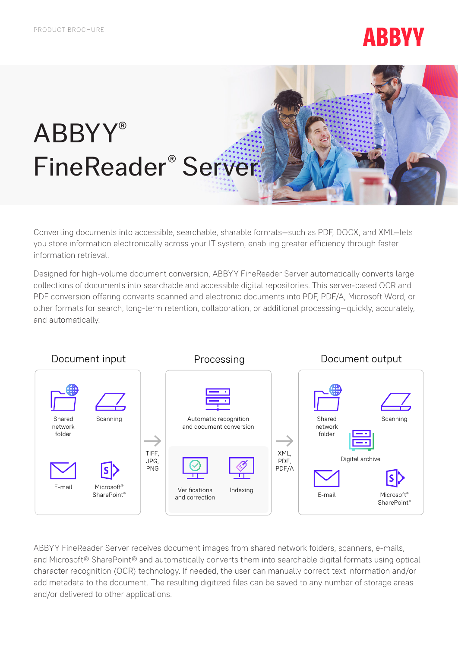# **ABBYY**

# ABBYY® FineReader® Server

Converting documents into accessible, searchable, sharable formats—such as PDF, DOCX, and XML—lets you store information electronically across your IT system, enabling greater efficiency through faster information retrieval.

Designed for high-volume document conversion, ABBYY FineReader Server automatically converts large collections of documents into searchable and accessible digital repositories. This server-based OCR and PDF conversion offering converts scanned and electronic documents into PDF, PDF/A, Microsoft Word, or other formats for search, long-term retention, collaboration, or additional processing—quickly, accurately, and automatically.



ABBYY FineReader Server receives document images from shared network folders, scanners, e-mails, and Microsoft® SharePoint® and automatically converts them into searchable digital formats using optical character recognition (OCR) technology. If needed, the user can manually correct text information and/or add metadata to the document. The resulting digitized files can be saved to any number of storage areas and/or delivered to other applications.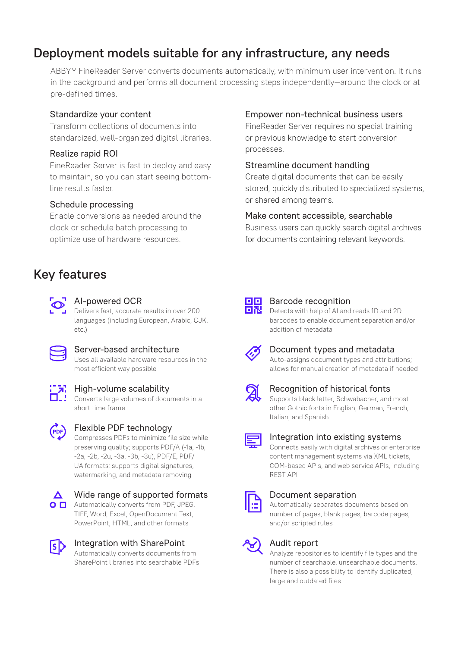# Deployment models suitable for any infrastructure, any needs

ABBYY FineReader Server converts documents automatically, with minimum user intervention. It runs in the background and performs all document processing steps independently—around the clock or at pre-defined times.

#### Standardize your content

Transform collections of documents into standardized, well-organized digital libraries.

#### Realize rapid ROI

FineReader Server is fast to deploy and easy to maintain, so you can start seeing bottomline results faster.

#### Schedule processing

Enable conversions as needed around the clock or schedule batch processing to optimize use of hardware resources.

# Key features



#### AI-powered OCR

Delivers fast, accurate results in over 200 languages (including European, Arabic, CJK, etc.)



#### Server-based architecture

Uses all available hardware resources in the most efficient way possible



#### **7** High-volume scalability

Converts large volumes of documents in a short time frame



# Flexible PDF technology

Compresses PDFs to minimize file size while preserving quality; supports PDF/A (-1a, -1b, -2a, -2b, -2u, -3a, -3b, -3u), PDF/E, PDF/ UA formats; supports digital signatures, watermarking, and metadata removing



#### Wide range of supported formats **O**  $\Box$  Automatically converts from PDF, JPEG.

TIFF, Word, Excel, OpenDocument Text, PowerPoint, HTML, and other formats



#### Integration with SharePoint Automatically converts documents from SharePoint libraries into searchable PDFs

#### Empower non-technical business users

FineReader Server requires no special training or previous knowledge to start conversion processes.

#### Streamline document handling

Create digital documents that can be easily stored, quickly distributed to specialized systems, or shared among teams.

#### Make content accessible, searchable

Business users can quickly search digital archives for documents containing relevant keywords.



#### Barcode recognition

Detects with help of AI and reads 1D and 2D barcodes to enable document separation and/or addition of metadata



#### Document types and metadata Auto-assigns document types and attributions; allows for manual creation of metadata if needed



#### Recognition of historical fonts

Supports black letter, Schwabacher, and most other Gothic fonts in English, German, French, Italian, and Spanish

#### Integration into existing systems

Connects easily with digital archives or enterprise content management systems via XML tickets, COM-based APIs, and web service APIs, including REST API



#### Document separation

Automatically separates documents based on number of pages, blank pages, barcode pages, and/or scripted rules



#### Audit report

Analyze repositories to identify file types and the number of searchable, unsearchable documents. There is also a possibility to identify duplicated, large and outdated files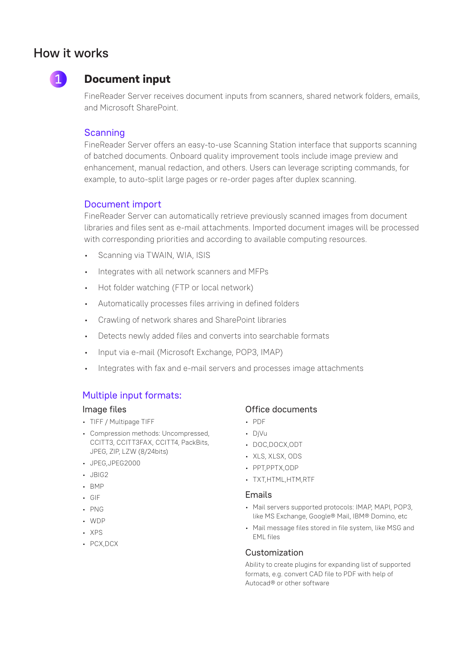# How it works



## **Document input**

FineReader Server receives document inputs from scanners, shared network folders, emails, and Microsoft SharePoint.

#### **Scanning**

FineReader Server offers an easy-to-use Scanning Station interface that supports scanning of batched documents. Onboard quality improvement tools include image preview and enhancement, manual redaction, and others. Users can leverage scripting commands, for example, to auto-split large pages or re-order pages after duplex scanning.

#### Document import

FineReader Server can automatically retrieve previously scanned images from document libraries and files sent as e-mail attachments. Imported document images will be processed with corresponding priorities and according to available computing resources.

- Scanning via TWAIN, WIA, ISIS
- Integrates with all network scanners and MFPs
- Hot folder watching (FTP or local network)
- Automatically processes files arriving in defined folders
- Crawling of network shares and SharePoint libraries
- Detects newly added files and converts into searchable formats
- Input via e-mail (Microsoft Exchange, POP3, IMAP)
- Integrates with fax and e-mail servers and processes image attachments

#### Multiple input formats:

#### Image files

- TIFF / Multipage TIFF
- Compression methods: Uncompressed, CCITT3, CCITT3FAX, CCITT4, PackBits, JPEG, ZIP, LZW (8/24bits)
- JPEG,JPEG2000
- JBIG2
- BMP
- GIF
- PNG
- WDP
- XPS
- PCX,DCX

#### Office documents

- PDF
- DjVu
- DOC,DOCX,ODT
- XLS, XLSX, ODS
- PPT PPTX ODP
- TXTHTML HTM RTF

#### Emails

- Mail servers supported protocols: IMAP, MAPI, POP3, like MS Exchange, Google® Mail, IBM® Domino, etc
- Mail message files stored in file system, like MSG and EML files

#### Customization

Ability to create plugins for expanding list of supported formats, e.g. convert CAD file to PDF with help of Autocad® or other software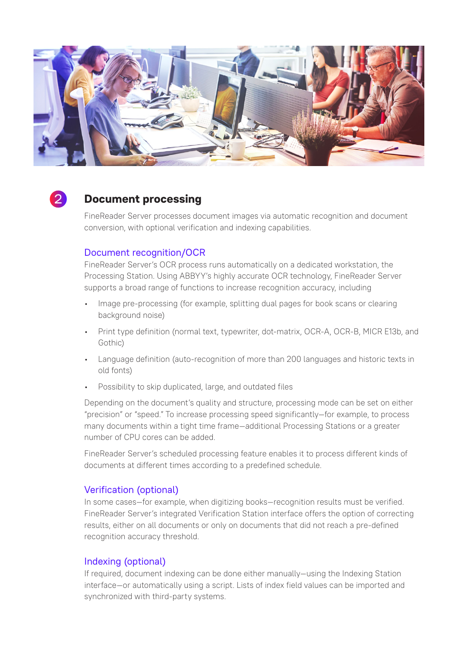



### **Document processing**

FineReader Server processes document images via automatic recognition and document conversion, with optional verification and indexing capabilities.

#### Document recognition/OCR

FineReader Server's OCR process runs automatically on a dedicated workstation, the Processing Station. Using ABBYY's highly accurate OCR technology, FineReader Server supports a broad range of functions to increase recognition accuracy, including

- Image pre-processing (for example, splitting dual pages for book scans or clearing background noise)
- Print type definition (normal text, typewriter, dot-matrix, OCR-A, OCR-B, MICR E13b, and Gothic)
- Language definition (auto-recognition of more than 200 languages and historic texts in old fonts)
- Possibility to skip duplicated, large, and outdated files

Depending on the document's quality and structure, processing mode can be set on either "precision" or "speed." To increase processing speed significantly—for example, to process many documents within a tight time frame—additional Processing Stations or a greater number of CPU cores can be added.

FineReader Server's scheduled processing feature enables it to process different kinds of documents at different times according to a predefined schedule.

#### Verification (optional)

In some cases—for example, when digitizing books—recognition results must be verified. FineReader Server's integrated Verification Station interface offers the option of correcting results, either on all documents or only on documents that did not reach a pre-defined recognition accuracy threshold.

#### Indexing (optional)

If required, document indexing can be done either manually—using the Indexing Station interface—or automatically using a script. Lists of index field values can be imported and synchronized with third-party systems.